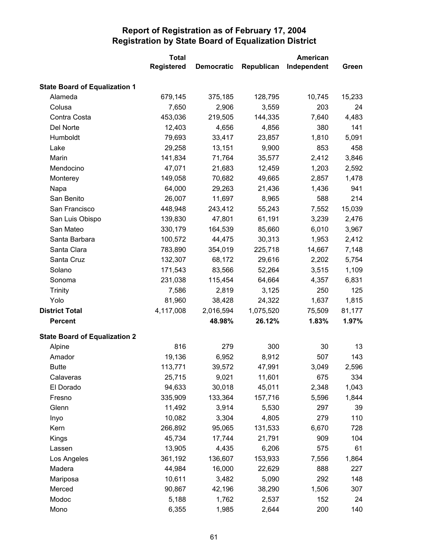|                                      | <b>Total</b>      |                   | American   |             |        |
|--------------------------------------|-------------------|-------------------|------------|-------------|--------|
|                                      | <b>Registered</b> | <b>Democratic</b> | Republican | Independent | Green  |
| <b>State Board of Equalization 1</b> |                   |                   |            |             |        |
| Alameda                              | 679,145           | 375,185           | 128,795    | 10,745      | 15,233 |
| Colusa                               | 7,650             | 2,906             | 3,559      | 203         | 24     |
| Contra Costa                         | 453,036           | 219,505           | 144,335    | 7,640       | 4,483  |
| Del Norte                            | 12,403            | 4,656             | 4,856      | 380         | 141    |
| Humboldt                             | 79,693            | 33,417            | 23,857     | 1,810       | 5,091  |
| Lake                                 | 29,258            | 13,151            | 9,900      | 853         | 458    |
| Marin                                | 141,834           | 71,764            | 35,577     | 2,412       | 3,846  |
| Mendocino                            | 47,071            | 21,683            | 12,459     | 1,203       | 2,592  |
| Monterey                             | 149,058           | 70,682            | 49,665     | 2,857       | 1,478  |
| Napa                                 | 64,000            | 29,263            | 21,436     | 1,436       | 941    |
| San Benito                           | 26,007            | 11,697            | 8,965      | 588         | 214    |
| San Francisco                        | 448,948           | 243,412           | 55,243     | 7,552       | 15,039 |
| San Luis Obispo                      | 139,830           | 47,801            | 61,191     | 3,239       | 2,476  |
| San Mateo                            | 330,179           | 164,539           | 85,660     | 6,010       | 3,967  |
| Santa Barbara                        | 100,572           | 44,475            | 30,313     | 1,953       | 2,412  |
| Santa Clara                          | 783,890           | 354,019           | 225,718    | 14,667      | 7,148  |
| Santa Cruz                           | 132,307           | 68,172            | 29,616     | 2,202       | 5,754  |
| Solano                               | 171,543           | 83,566            | 52,264     | 3,515       | 1,109  |
| Sonoma                               | 231,038           | 115,454           | 64,664     | 4,357       | 6,831  |
| <b>Trinity</b>                       | 7,586             | 2,819             | 3,125      | 250         | 125    |
| Yolo                                 | 81,960            | 38,428            | 24,322     | 1,637       | 1,815  |
| <b>District Total</b>                | 4,117,008         | 2,016,594         | 1,075,520  | 75,509      | 81,177 |
| <b>Percent</b>                       |                   | 48.98%            | 26.12%     | 1.83%       | 1.97%  |
| <b>State Board of Equalization 2</b> |                   |                   |            |             |        |
| Alpine                               | 816               | 279               | 300        | 30          | 13     |
| Amador                               | 19,136            | 6,952             | 8,912      | 507         | 143    |
| <b>Butte</b>                         | 113,771           | 39,572            | 47,991     | 3,049       | 2,596  |
| Calaveras                            | 25,715            | 9,021             | 11,601     | 675         | 334    |
| El Dorado                            | 94,633            | 30,018            | 45,011     | 2,348       | 1,043  |
| Fresno                               | 335,909           | 133,364           | 157,716    | 5,596       | 1,844  |
| Glenn                                | 11,492            | 3,914             | 5,530      | 297         | 39     |
| Inyo                                 | 10,082            | 3,304             | 4,805      | 279         | 110    |
| Kern                                 | 266,892           | 95,065            | 131,533    | 6,670       | 728    |
| Kings                                | 45,734            | 17,744            | 21,791     | 909         | 104    |
| Lassen                               | 13,905            | 4,435             | 6,206      | 575         | 61     |
| Los Angeles                          | 361,192           | 136,607           | 153,933    | 7,556       | 1,864  |
| Madera                               | 44,984            | 16,000            | 22,629     | 888         | 227    |
| Mariposa                             | 10,611            | 3,482             | 5,090      | 292         | 148    |
| Merced                               | 90,867            | 42,196            | 38,290     | 1,506       | 307    |
| Modoc                                | 5,188             | 1,762             | 2,537      | 152         | 24     |
| Mono                                 | 6,355             | 1,985             | 2,644      | 200         | 140    |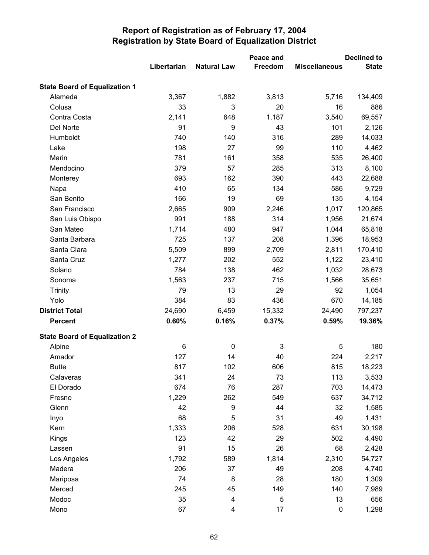|                                      |             |                    | Peace and |                      | <b>Declined to</b> |
|--------------------------------------|-------------|--------------------|-----------|----------------------|--------------------|
|                                      | Libertarian | <b>Natural Law</b> | Freedom   | <b>Miscellaneous</b> | <b>State</b>       |
| <b>State Board of Equalization 1</b> |             |                    |           |                      |                    |
| Alameda                              | 3,367       | 1,882              | 3,813     | 5,716                | 134,409            |
| Colusa                               | 33          | 3                  | 20        | 16                   | 886                |
| Contra Costa                         | 2,141       | 648                | 1,187     | 3,540                | 69,557             |
| Del Norte                            | 91          | 9                  | 43        | 101                  | 2,126              |
| Humboldt                             | 740         | 140                | 316       | 289                  | 14,033             |
| Lake                                 | 198         | 27                 | 99        | 110                  | 4,462              |
| Marin                                | 781         | 161                | 358       | 535                  | 26,400             |
| Mendocino                            | 379         | 57                 | 285       | 313                  | 8,100              |
| Monterey                             | 693         | 162                | 390       | 443                  | 22,688             |
| Napa                                 | 410         | 65                 | 134       | 586                  | 9,729              |
| San Benito                           | 166         | 19                 | 69        | 135                  | 4,154              |
| San Francisco                        | 2,665       | 909                | 2,246     | 1,017                | 120,865            |
| San Luis Obispo                      | 991         | 188                | 314       | 1,956                | 21,674             |
| San Mateo                            | 1,714       | 480                | 947       | 1,044                | 65,818             |
| Santa Barbara                        | 725         | 137                | 208       | 1,396                | 18,953             |
| Santa Clara                          | 5,509       | 899                | 2,709     | 2,811                | 170,410            |
| Santa Cruz                           | 1,277       | 202                | 552       | 1,122                | 23,410             |
| Solano                               | 784         | 138                | 462       | 1,032                | 28,673             |
| Sonoma                               | 1,563       | 237                | 715       | 1,566                | 35,651             |
| <b>Trinity</b>                       | 79          | 13                 | 29        | 92                   | 1,054              |
| Yolo                                 | 384         | 83                 | 436       | 670                  | 14,185             |
| <b>District Total</b>                | 24,690      | 6,459              | 15,332    | 24,490               | 797,237            |
| <b>Percent</b>                       | 0.60%       | 0.16%              | 0.37%     | 0.59%                | 19.36%             |
| <b>State Board of Equalization 2</b> |             |                    |           |                      |                    |
| Alpine                               | 6           | 0                  | 3         | 5                    | 180                |
| Amador                               | 127         | 14                 | 40        | 224                  | 2,217              |
| Butte                                | 817         | 102                | 606       | 815                  | 18,223             |
| Calaveras                            | 341         | 24                 | 73        | 113                  | 3,533              |
| El Dorado                            | 674         | 76                 | 287       | 703                  | 14,473             |
| Fresno                               | 1,229       | 262                | 549       | 637                  | 34,712             |
| Glenn                                | 42          | $\boldsymbol{9}$   | 44        | 32                   | 1,585              |
| Inyo                                 | 68          | 5                  | 31        | 49                   | 1,431              |
| Kern                                 | 1,333       | 206                | 528       | 631                  | 30,198             |
| Kings                                | 123         | 42                 | 29        | 502                  | 4,490              |
| Lassen                               | 91          | 15                 | 26        | 68                   | 2,428              |
| Los Angeles                          | 1,792       | 589                | 1,814     | 2,310                | 54,727             |
| Madera                               | 206         | 37                 | 49        | 208                  | 4,740              |
| Mariposa                             | 74          | 8                  | 28        | 180                  | 1,309              |
| Merced                               | 245         | 45                 | 149       | 140                  | 7,989              |
| Modoc                                | 35          | 4                  | 5         | 13                   | 656                |
| Mono                                 | 67          | 4                  | 17        | $\pmb{0}$            | 1,298              |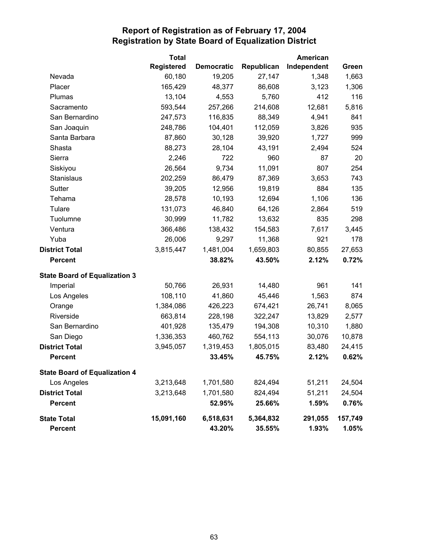|                                      | <b>Total</b>      |                   |            | American    |         |
|--------------------------------------|-------------------|-------------------|------------|-------------|---------|
|                                      | <b>Registered</b> | <b>Democratic</b> | Republican | Independent | Green   |
| Nevada                               | 60,180            | 19,205            | 27,147     | 1,348       | 1,663   |
| Placer                               | 165,429           | 48,377            | 86,608     | 3,123       | 1,306   |
| Plumas                               | 13,104            | 4,553             | 5,760      | 412         | 116     |
| Sacramento                           | 593,544           | 257,266           | 214,608    | 12,681      | 5,816   |
| San Bernardino                       | 247,573           | 116,835           | 88,349     | 4,941       | 841     |
| San Joaquin                          | 248,786           | 104,401           | 112,059    | 3,826       | 935     |
| Santa Barbara                        | 87,860            | 30,128            | 39,920     | 1,727       | 999     |
| Shasta                               | 88,273            | 28,104            | 43,191     | 2,494       | 524     |
| Sierra                               | 2,246             | 722               | 960        | 87          | 20      |
| Siskiyou                             | 26,564            | 9,734             | 11,091     | 807         | 254     |
| <b>Stanislaus</b>                    | 202,259           | 86,479            | 87,369     | 3,653       | 743     |
| Sutter                               | 39,205            | 12,956            | 19,819     | 884         | 135     |
| Tehama                               | 28,578            | 10,193            | 12,694     | 1,106       | 136     |
| Tulare                               | 131,073           | 46,840            | 64,126     | 2,864       | 519     |
| Tuolumne                             | 30,999            | 11,782            | 13,632     | 835         | 298     |
| Ventura                              | 366,486           | 138,432           | 154,583    | 7,617       | 3,445   |
| Yuba                                 | 26,006            | 9,297             | 11,368     | 921         | 178     |
| <b>District Total</b>                | 3,815,447         | 1,481,004         | 1,659,803  | 80,855      | 27,653  |
| <b>Percent</b>                       |                   | 38.82%            | 43.50%     | 2.12%       | 0.72%   |
| <b>State Board of Equalization 3</b> |                   |                   |            |             |         |
| Imperial                             | 50,766            | 26,931            | 14,480     | 961         | 141     |
| Los Angeles                          | 108,110           | 41,860            | 45,446     | 1,563       | 874     |
| Orange                               | 1,384,086         | 426,223           | 674,421    | 26,741      | 8,065   |
| Riverside                            | 663,814           | 228,198           | 322,247    | 13,829      | 2,577   |
| San Bernardino                       | 401,928           | 135,479           | 194,308    | 10,310      | 1,880   |
| San Diego                            | 1,336,353         | 460,762           | 554,113    | 30,076      | 10,878  |
| <b>District Total</b>                | 3,945,057         | 1,319,453         | 1,805,015  | 83,480      | 24,415  |
| <b>Percent</b>                       |                   | 33.45%            | 45.75%     | 2.12%       | 0.62%   |
| <b>State Board of Equalization 4</b> |                   |                   |            |             |         |
| Los Angeles                          | 3,213,648         | 1,701,580         | 824,494    | 51,211      | 24,504  |
| <b>District Total</b>                | 3,213,648         | 1,701,580         | 824,494    | 51,211      | 24,504  |
| <b>Percent</b>                       |                   | 52.95%            | 25.66%     | 1.59%       | 0.76%   |
| <b>State Total</b>                   | 15,091,160        | 6,518,631         | 5,364,832  | 291,055     | 157,749 |
| <b>Percent</b>                       |                   | 43.20%            | 35.55%     | 1.93%       | 1.05%   |